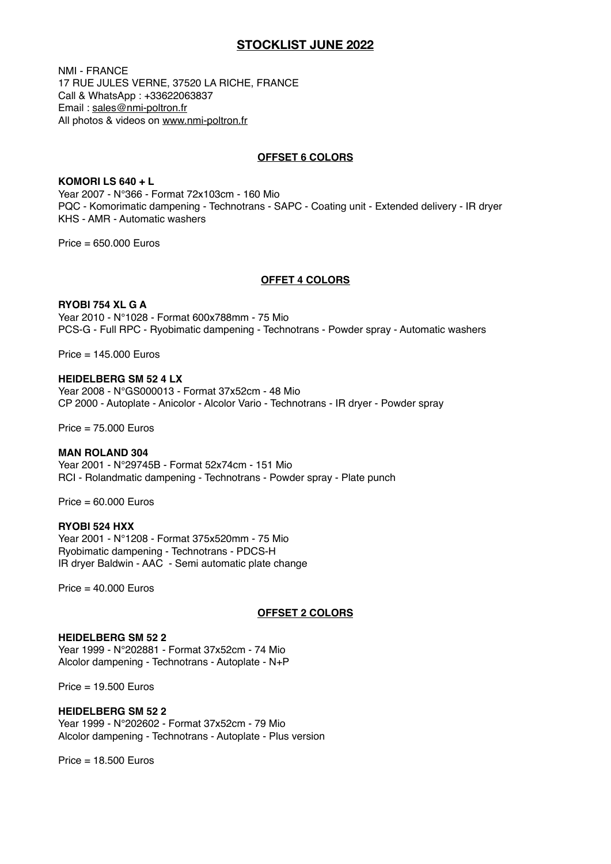# **STOCKLIST JUNE 2022**

NMI - FRANCE 17 RUE JULES VERNE, 37520 LA RICHE, FRANCE Call & WhatsApp : +33622063837 Email : [sales@nmi-poltron.fr](mailto:sales@nmi-poltron.fr) All photos & videos on [www.nmi-poltron.fr](http://www.nmi-poltron.fr)

## **OFFSET 6 COLORS**

**KOMORI LS 640 + L**  Year 2007 - N°366 - Format 72x103cm - 160 Mio PQC - Komorimatic dampening - Technotrans - SAPC - Coating unit - Extended delivery - IR dryer KHS - AMR - Automatic washers

 $Price = 650,000$  Furos

## **OFFET 4 COLORS**

### **RYOBI 754 XL G A**

Year 2010 - N°1028 - Format 600x788mm - 75 Mio PCS-G - Full RPC - Ryobimatic dampening - Technotrans - Powder spray - Automatic washers

Price = 145.000 Euros

## **HEIDELBERG SM 52 4 LX**

Year 2008 - N°GS000013 - Format 37x52cm - 48 Mio CP 2000 - Autoplate - Anicolor - Alcolor Vario - Technotrans - IR dryer - Powder spray

Price = 75.000 Euros

### **MAN ROLAND 304**

Year 2001 - N°29745B - Format 52x74cm - 151 Mio RCI - Rolandmatic dampening - Technotrans - Powder spray - Plate punch

 $Price = 60,000$  Furos

## **RYOBI 524 HXX**

Year 2001 - N°1208 - Format 375x520mm - 75 Mio Ryobimatic dampening - Technotrans - PDCS-H IR dryer Baldwin - AAC - Semi automatic plate change

 $Price = 40.000 Euros$ 

## **OFFSET 2 COLORS**

## **HEIDELBERG SM 52 2**

Year 1999 - N°202881 - Format 37x52cm - 74 Mio Alcolor dampening - Technotrans - Autoplate - N+P

Price = 19.500 Euros

### **HEIDELBERG SM 52 2**

Year 1999 - N°202602 - Format 37x52cm - 79 Mio Alcolor dampening - Technotrans - Autoplate - Plus version

 $Price = 18,500$  Furos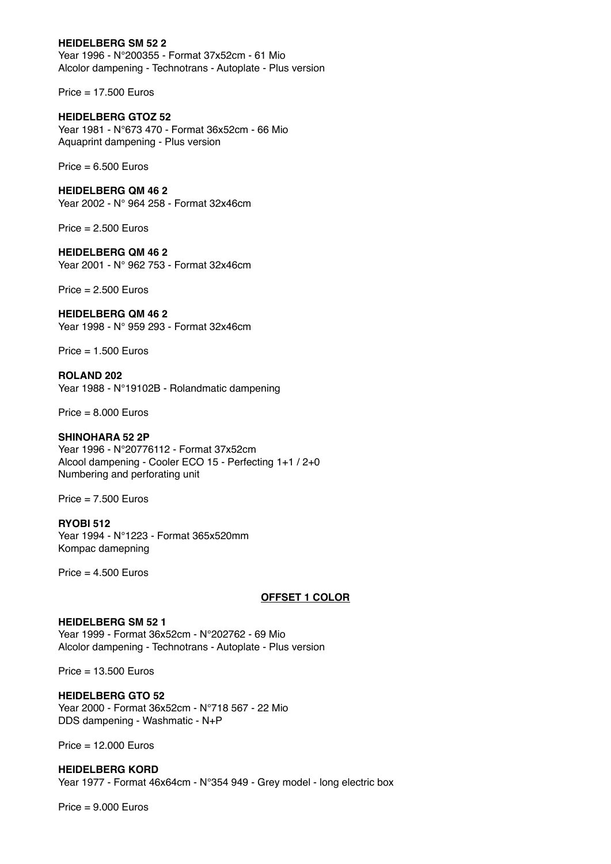## **HEIDELBERG SM 52 2**

Year 1996 - N°200355 - Format 37x52cm - 61 Mio Alcolor dampening - Technotrans - Autoplate - Plus version

Price = 17.500 Euros

## **HEIDELBERG GTOZ 52**

Year 1981 - N°673 470 - Format 36x52cm - 66 Mio Aquaprint dampening - Plus version

 $Price = 6.500 Euros$ 

## **HEIDELBERG QM 46 2**

Year 2002 - N° 964 258 - Format 32x46cm

 $Price = 2.500 Euros$ 

### **HEIDELBERG QM 46 2**

Year 2001 - N° 962 753 - Format 32x46cm

Price  $= 2.500$  Furos

## **HEIDELBERG QM 46 2**

Year 1998 - N° 959 293 - Format 32x46cm

 $Price = 1.500 Euros$ 

**ROLAND 202**  Year 1988 - N°19102B - Rolandmatic dampening

 $Price = 8,000$  Furos

## **SHINOHARA 52 2P**

Year 1996 - N°20776112 - Format 37x52cm Alcool dampening - Cooler ECO 15 - Perfecting 1+1 / 2+0 Numbering and perforating unit

 $Price = 7.500 Euros$ 

## **RYOBI 512**

Year 1994 - N°1223 - Format 365x520mm Kompac damepning

Price  $= 4.500$  Euros

## **OFFSET 1 COLOR**

## **HEIDELBERG SM 52 1** Year 1999 - Format 36x52cm - N°202762 - 69 Mio Alcolor dampening - Technotrans - Autoplate - Plus version

Price = 13.500 Euros

## **HEIDELBERG GTO 52**

Year 2000 - Format 36x52cm - N°718 567 - 22 Mio DDS dampening - Washmatic - N+P

Price = 12.000 Euros

# **HEIDELBERG KORD** Year 1977 - Format 46x64cm - N°354 949 - Grey model - long electric box

 $Price = 9.000 Euros$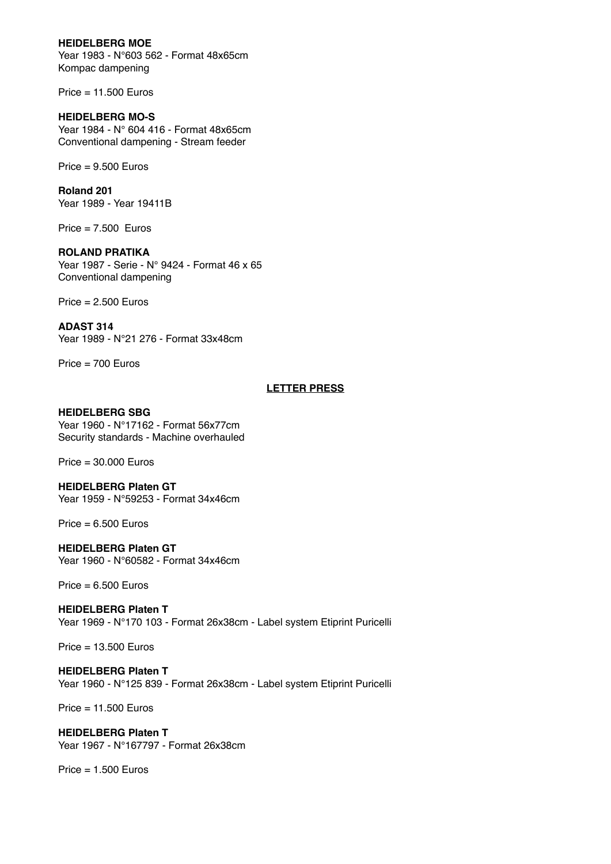## **HEIDELBERG MOE**

Year 1983 - N°603 562 - Format 48x65cm Kompac dampening

Price = 11.500 Euros

## **HEIDELBERG MO-S**

Year 1984 - N° 604 416 - Format 48x65cm Conventional dampening - Stream feeder

 $Price = 9.500 Euros$ 

**Roland 201** Year 1989 - Year 19411B

 $Price = 7.500$  Euros

# **ROLAND PRATIKA**

Year 1987 - Serie - N° 9424 - Format 46 x 65 Conventional dampening

 $Price = 2.500 Euros$ 

## **ADAST 314**

Year 1989 - N°21 276 - Format 33x48cm

Price = 700 Euros

## **LETTER PRESS**

## **HEIDELBERG SBG**

Year 1960 - N°17162 - Format 56x77cm Security standards - Machine overhauled

Price = 30.000 Euros

#### **HEIDELBERG Platen GT** Year 1959 - N°59253 - Format 34x46cm

 $Price = 6.500 Euros$ 

# **HEIDELBERG Platen GT**

Year 1960 - N°60582 - Format 34x46cm

 $Price = 6.500$  Euros

**HEIDELBERG Platen T** Year 1969 - N°170 103 - Format 26x38cm - Label system Etiprint Puricelli

Price = 13.500 Euros

## **HEIDELBERG Platen T** Year 1960 - N°125 839 - Format 26x38cm - Label system Etiprint Puricelli

Price = 11.500 Euros

#### **HEIDELBERG Platen T** Year 1967 - N°167797 - Format 26x38cm

 $Price = 1.500$  Euros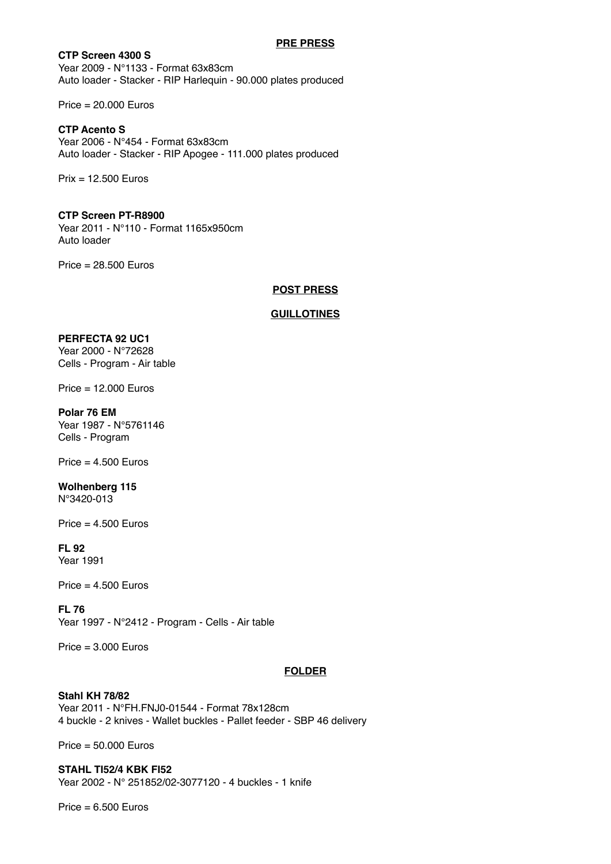### **PRE PRESS**

**CTP Screen 4300 S** Year 2009 - N°1133 - Format 63x83cm Auto loader - Stacker - RIP Harlequin - 90.000 plates produced

Price = 20.000 Euros

## **CTP Acento S**

Year 2006 - N°454 - Format 63x83cm Auto loader - Stacker - RIP Apogee - 111.000 plates produced

Prix = 12.500 Euros

## **CTP Screen PT-R8900**

Year 2011 - N°110 - Format 1165x950cm Auto loader

Price = 28.500 Euros

## **POST PRESS**

## **GUILLOTINES**

### **PERFECTA 92 UC1**

Year 2000 - N°72628 Cells - Program - Air table

Price = 12.000 Euros

#### **Polar 76 EM**

Year 1987 - N°5761146 Cells - Program

 $Price = 4.500 Euros$ 

### **Wolhenberg 115** N°3420-013

 $Price = 4.500 Euros$ 

#### **FL 92** Year 1991

Price  $= 4.500$  Euros

# **FL 76**

Year 1997 - N°2412 - Program - Cells - Air table

 $Price = 3.000$  Euros

## **FOLDER**

# **Stahl KH 78/82**

Year 2011 - N°FH.FNJ0-01544 - Format 78x128cm 4 buckle - 2 knives - Wallet buckles - Pallet feeder - SBP 46 delivery

Price = 50.000 Euros

**STAHL TI52/4 KBK FI52** Year 2002 - N° 251852/02-3077120 - 4 buckles - 1 knife

 $Price = 6.500 Euros$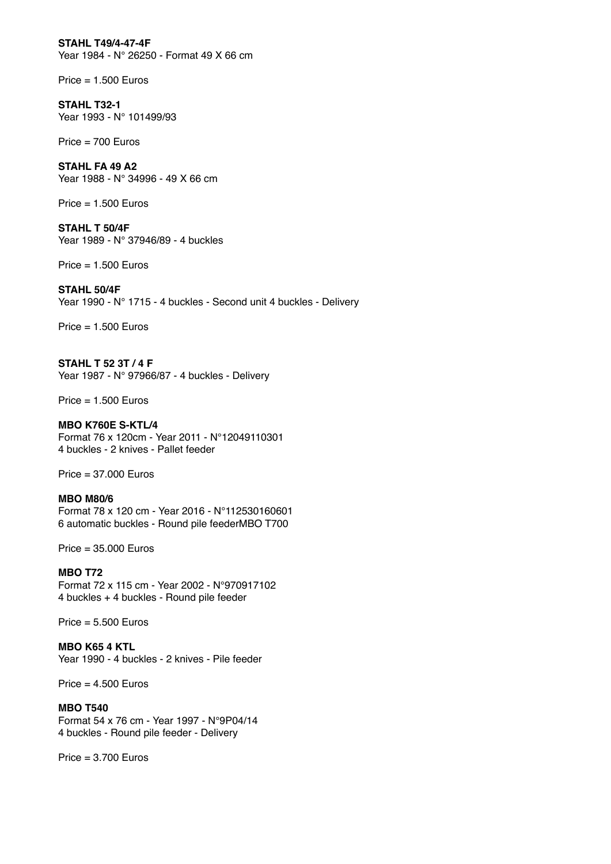**STAHL T49/4-47-4F** Year 1984 - N° 26250 - Format 49 X 66 cm

 $Price = 1.500 Euros$ 

**STAHL T32-1** Year 1993 - N° 101499/93

Price = 700 Euros

**STAHL FA 49 A2** Year 1988 - N° 34996 - 49 X 66 cm

 $Price = 1.500 Euros$ 

**STAHL T 50/4F** Year 1989 - N° 37946/89 - 4 buckles

Price = 1.500 Euros

## **STAHL 50/4F**

Year 1990 - N° 1715 - 4 buckles - Second unit 4 buckles - Delivery

 $Price = 1.500 Euros$ 

**STAHL T 52 3T / 4 F** Year 1987 - N° 97966/87 - 4 buckles - Delivery

 $Price = 1.500 Euros$ 

**MBO K760E S-KTL/4** Format 76 x 120cm - Year 2011 - N°12049110301 4 buckles - 2 knives - Pallet feeder

Price = 37.000 Euros

**MBO M80/6** Format 78 x 120 cm - Year 2016 - N°112530160601 6 automatic buckles - Round pile feederMBO T700

Price = 35.000 Euros

**MBO T72** Format 72 x 115 cm - Year 2002 - N°970917102 4 buckles + 4 buckles - Round pile feeder

 $Price = 5.500 Euros$ 

**MBO K65 4 KTL** Year 1990 - 4 buckles - 2 knives - Pile feeder

Price  $= 4.500$  Euros

**MBO T540** Format 54 x 76 cm - Year 1997 - N°9P04/14 4 buckles - Round pile feeder - Delivery

 $Price = 3.700 Euros$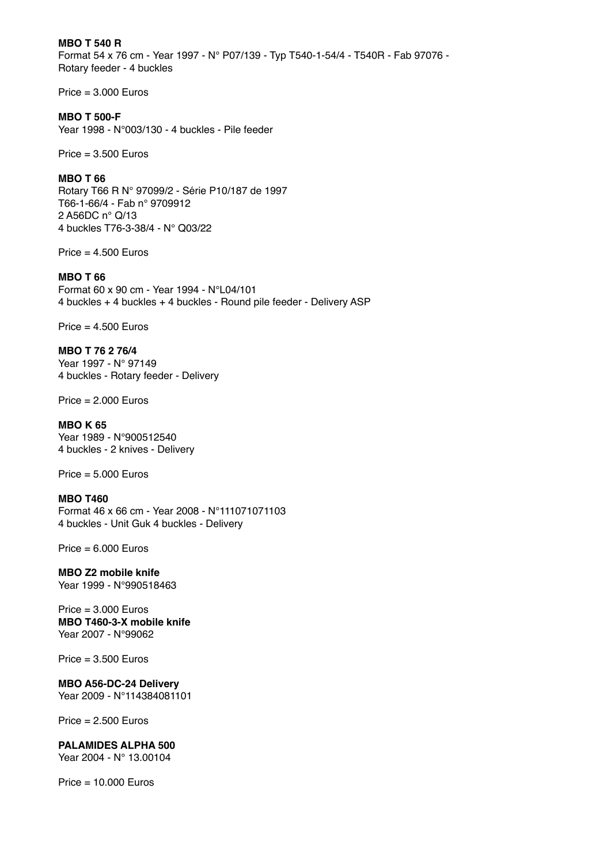**MBO T 540 R** Format 54 x 76 cm - Year 1997 - N° P07/139 - Typ T540-1-54/4 - T540R - Fab 97076 - Rotary feeder - 4 buckles

 $Price = 3.000 Euros$ 

## **MBO T 500-F**

Year 1998 - N°003/130 - 4 buckles - Pile feeder

 $Price = 3.500 Euros$ 

### **MBO T 66**

Rotary T66 R N° 97099/2 - Série P10/187 de 1997 T66-1-66/4 - Fab n° 9709912 2 A56DC n° Q/13 4 buckles T76-3-38/4 - N° Q03/22

 $Price = 4.500 Euros$ 

## **MBO T 66**

Format 60 x 90 cm - Year 1994 - N°L04/101 4 buckles + 4 buckles + 4 buckles - Round pile feeder - Delivery ASP

 $Price = 4.500 Euros$ 

**MBO T 76 2 76/4** Year 1997 - N° 97149 4 buckles - Rotary feeder - Deliver[y](https://www.nmi-poltron.fr/mbot800)

 $Price = 2.000 Euros$ 

## **MBO K 65**

Year 1989 - N°900512540 4 buckles - 2 knives - Delivery

Price = 5.000 Euros

### **MBO T460**

Format 46 x 66 cm - Year 2008 - N°111071071103 4 buckles - Unit Guk 4 buckles - Delivery

 $Price = 6.000 Euros$ 

**MBO Z2 mobile knife** Year 1999 - N°990518463

#### $Price = 3.000 Euros$ **MBO T460-3-X mobile knife** Year 2007 - N°99062

 $Price = 3.500 Euros$ 

### **MBO A56-DC-24 Delivery**

Year 2009 - N°114384081101

 $Price = 2.500$  Euros

## **PALAMIDES ALPHA 500**

Year 2004 - N° 13.00104

 $Price = 10.000 Euros$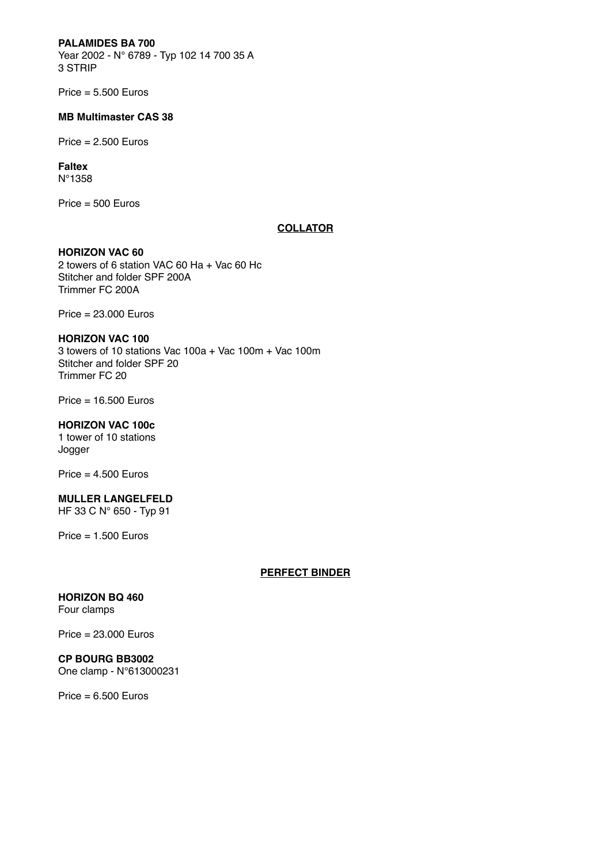## **PALAMIDES BA 700**

Year 2002 - N° 6789 - Typ 102 14 700 35 A 3 STRIP

 $Price = 5.500 Euros$ 

#### **MB Multimaster CAS 38**

 $Price = 2.500 Euros$ 

#### **Faltex** N°1358

Price = 500 Euros

## **COLLATOR**

# **HORIZON VAC 60**

2 towers of 6 station VAC 60 Ha + Vac 60 Hc Stitcher and folder SPF 200A Trimmer FC 200A

Price = 23.000 Euros

## **HORIZON VAC 100**

3 towers of 10 stations Vac 100a + Vac 100m + Vac 100m Stitcher and folder SPF 20 Trimmer FC 20

Price = 16.500 Euros

## **HORIZON VAC 100c**

1 tower of 10 stations Jogger

Price = 4.500 Euros

## **MULLER LANGELFELD**

HF 33 C N° 650 - Typ 91

 $Price = 1.500 Euros$ 

### **PERFECT BINDER**

## **HORIZON BQ 460** Four clamps

Price = 23.000 Euros

# **CP BOURG BB3002**

One clamp - N°613000231

 $Price = 6.500 Euros$